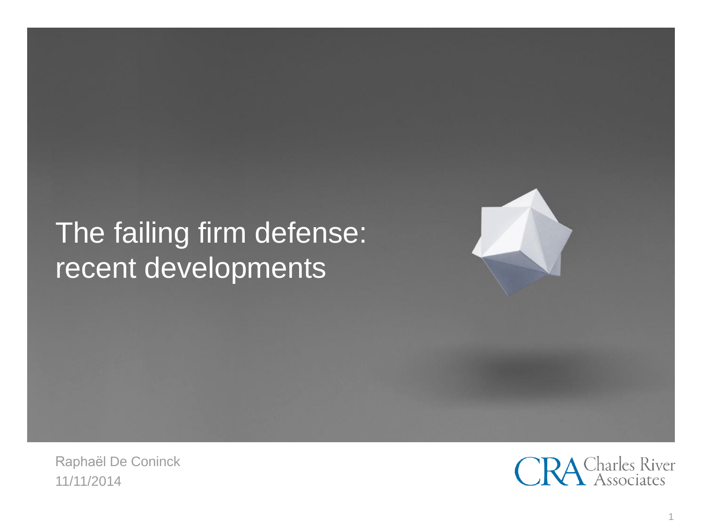# The failing firm defense: recent developments

Raphaël De Coninck 11/11/2014

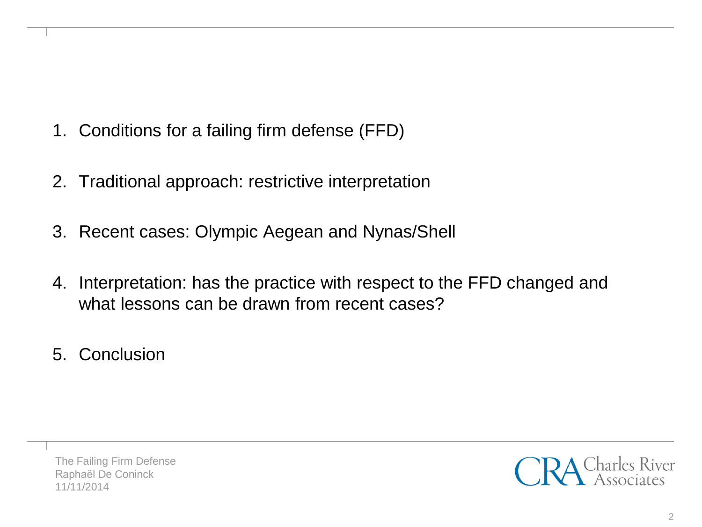- 1. Conditions for a failing firm defense (FFD)
- 2. Traditional approach: restrictive interpretation
- 3. Recent cases: Olympic Aegean and Nynas/Shell
- 4. Interpretation: has the practice with respect to the FFD changed and what lessons can be drawn from recent cases?
- 5. Conclusion

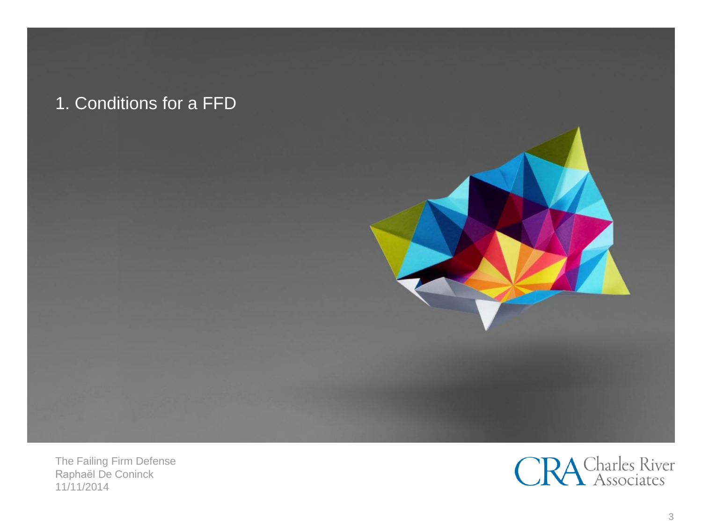## 1. Conditions for a FFD



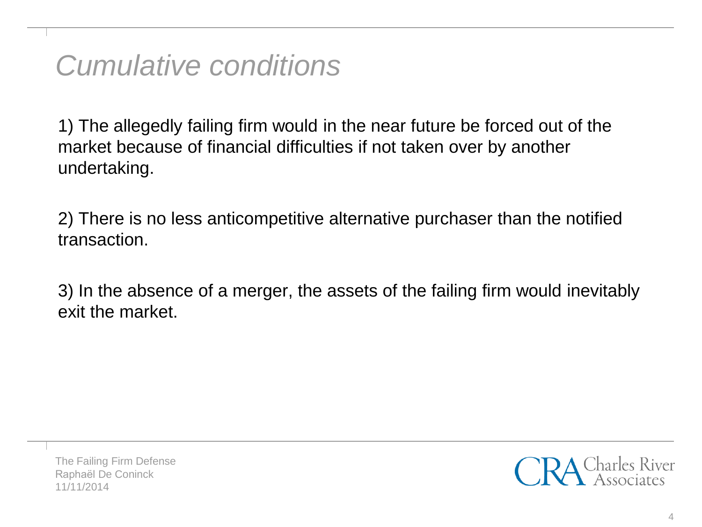*Cumulative conditions*

1) The allegedly failing firm would in the near future be forced out of the market because of financial difficulties if not taken over by another undertaking.

2) There is no less anticompetitive alternative purchaser than the notified transaction.

3) In the absence of a merger, the assets of the failing firm would inevitably exit the market.

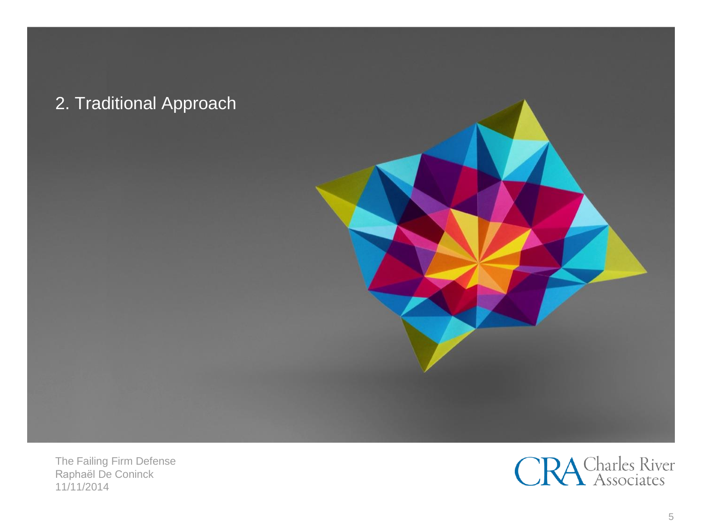

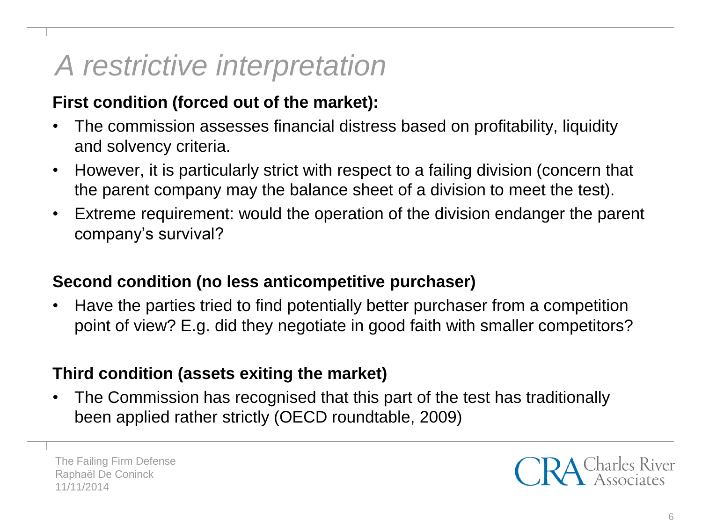## *A restrictive interpretation*

### **First condition (forced out of the market):**

- The commission assesses financial distress based on profitability, liquidity and solvency criteria.
- However, it is particularly strict with respect to a failing division (concern that the parent company may the balance sheet of a division to meet the test).
- Extreme requirement: would the operation of the division endanger the parent company's survival?

#### **Second condition (no less anticompetitive purchaser)**

• Have the parties tried to find potentially better purchaser from a competition point of view? E.g. did they negotiate in good faith with smaller competitors?

### **Third condition (assets exiting the market)**

• The Commission has recognised that this part of the test has traditionally been applied rather strictly (OECD roundtable, 2009)

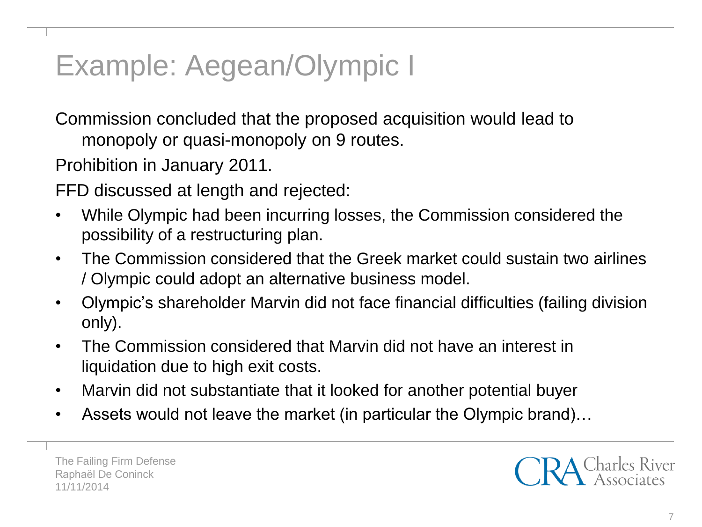# Example: Aegean/Olympic I

Commission concluded that the proposed acquisition would lead to monopoly or quasi-monopoly on 9 routes.

Prohibition in January 2011.

FFD discussed at length and rejected:

- While Olympic had been incurring losses, the Commission considered the possibility of a restructuring plan.
- The Commission considered that the Greek market could sustain two airlines / Olympic could adopt an alternative business model.
- Olympic's shareholder Marvin did not face financial difficulties (failing division only).
- The Commission considered that Marvin did not have an interest in liquidation due to high exit costs.
- Marvin did not substantiate that it looked for another potential buyer
- Assets would not leave the market (in particular the Olympic brand)…

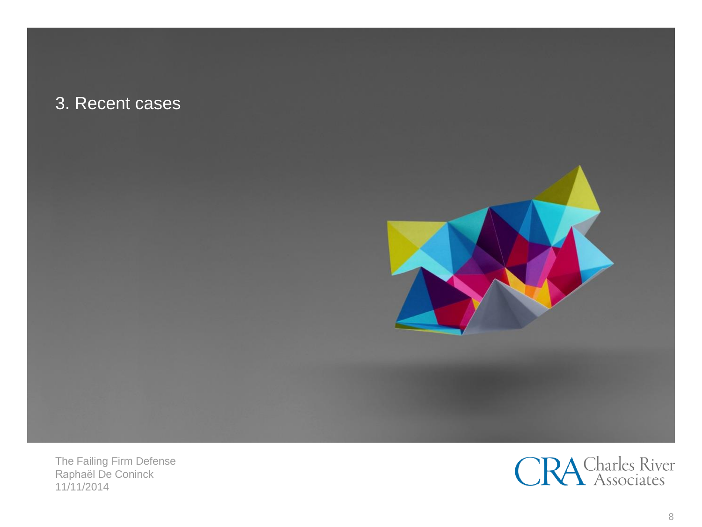#### 3. Recent cases



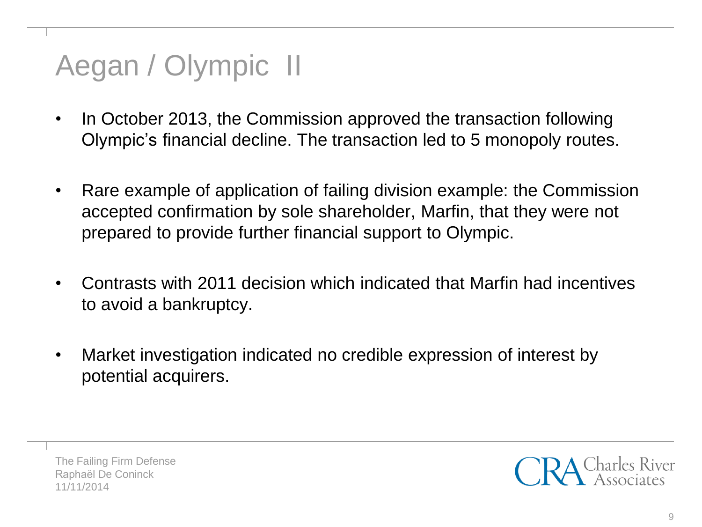# Aegan / Olympic II

- In October 2013, the Commission approved the transaction following Olympic's financial decline. The transaction led to 5 monopoly routes.
- Rare example of application of failing division example: the Commission accepted confirmation by sole shareholder, Marfin, that they were not prepared to provide further financial support to Olympic.
- Contrasts with 2011 decision which indicated that Marfin had incentives to avoid a bankruptcy.
- Market investigation indicated no credible expression of interest by potential acquirers.

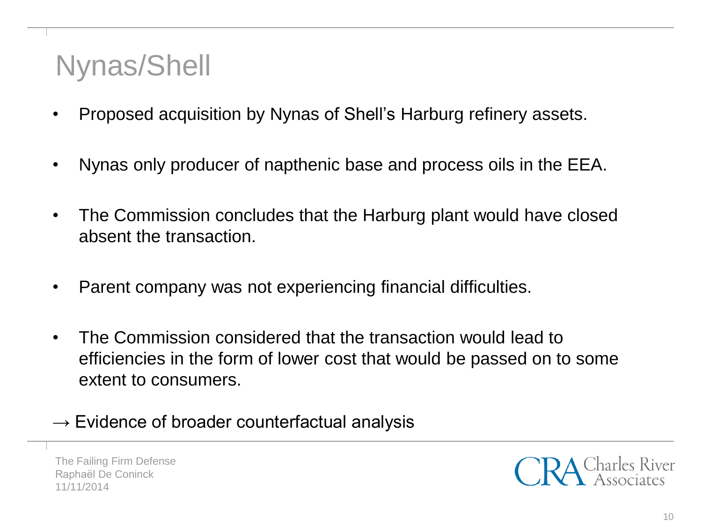## Nynas/Shell

- Proposed acquisition by Nynas of Shell's Harburg refinery assets.
- Nynas only producer of napthenic base and process oils in the EEA.
- The Commission concludes that the Harburg plant would have closed absent the transaction.
- Parent company was not experiencing financial difficulties.
- The Commission considered that the transaction would lead to efficiencies in the form of lower cost that would be passed on to some extent to consumers.
- $\rightarrow$  Evidence of broader counterfactual analysis

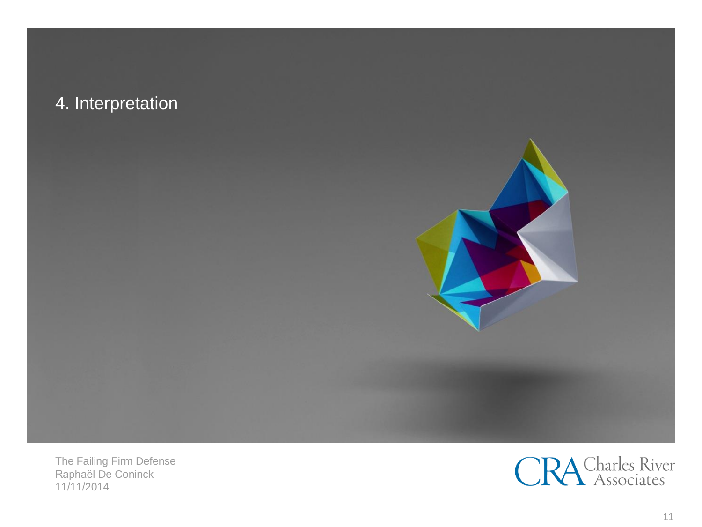## 4. Interpretation



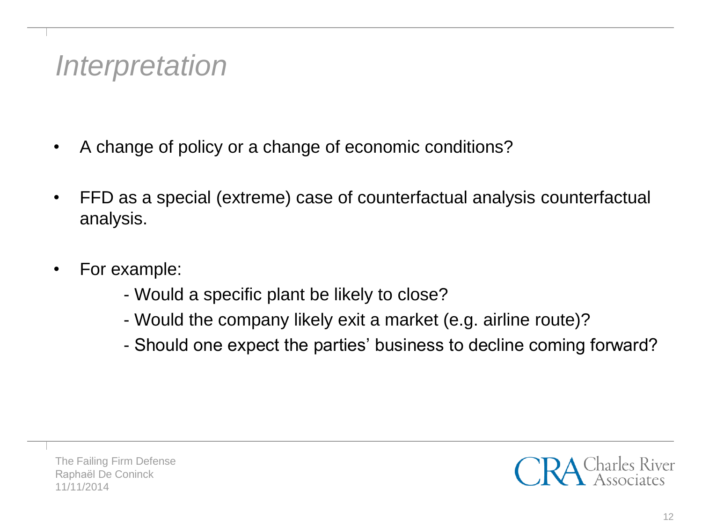## *Interpretation*

- A change of policy or a change of economic conditions?
- FFD as a special (extreme) case of counterfactual analysis counterfactual analysis.
- For example:
	- Would a specific plant be likely to close?
	- Would the company likely exit a market (e.g. airline route)?
	- Should one expect the parties' business to decline coming forward?

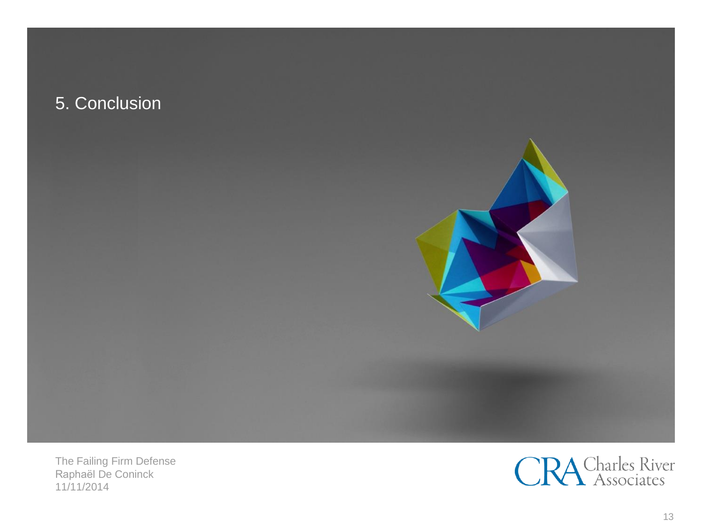## 5. Conclusion



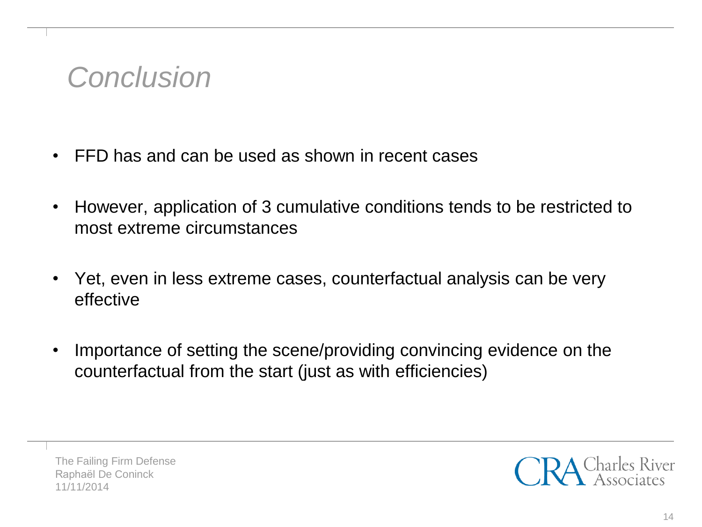## *Conclusion*

- FFD has and can be used as shown in recent cases
- However, application of 3 cumulative conditions tends to be restricted to most extreme circumstances
- Yet, even in less extreme cases, counterfactual analysis can be very effective
- Importance of setting the scene/providing convincing evidence on the counterfactual from the start (just as with efficiencies)